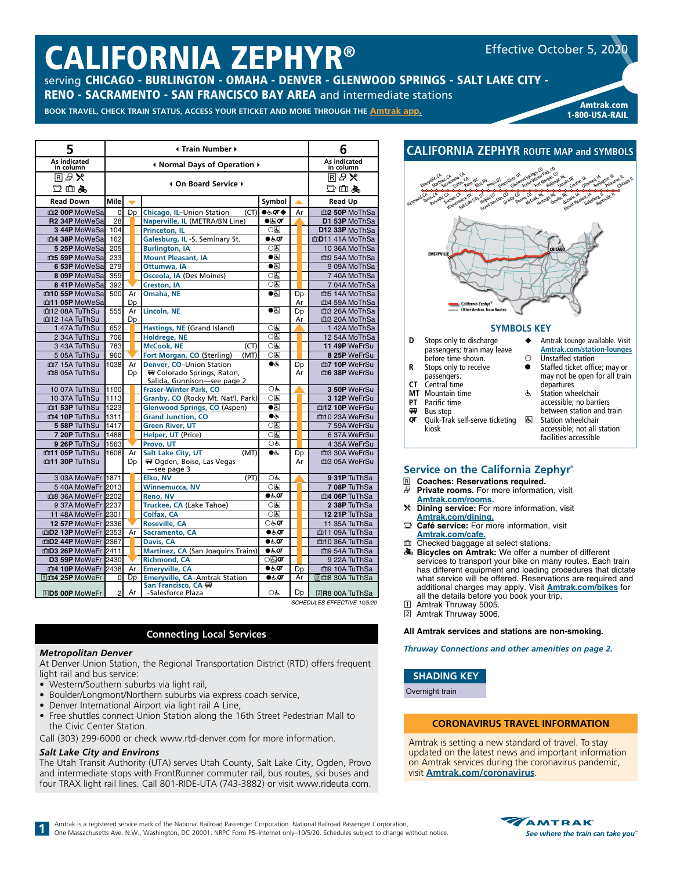# CALIFORNIA ZEPHYR®

Effective October 5, 2020

serving CHICAGO - BURLINGTON - OMAHA - DENVER - GLENWOOD SPRINGS - SALT LAKE CITY - RENO - SACRAMENTO - SAN FRANCISCO BAY AREA and intermediate stations

٦

BOOK TRAVEL, CHECK TRAIN STATUS, ACCESS YOUR ETICKET AND MORE THROUGH THE **[Amtrak app](https://www.amtrak.com/mobile).** 

| Amtrak.com<br>1-800-USA-RAIL   |  |  |  |  |  |  |  |  |
|--------------------------------|--|--|--|--|--|--|--|--|
|                                |  |  |  |  |  |  |  |  |
| <b>R ROUTE MAP and SYMBOLS</b> |  |  |  |  |  |  |  |  |
|                                |  |  |  |  |  |  |  |  |

between station and train

accessible; not all station facilities accessible

**图 Station wheelchair** 

| 5                         | <b>I</b> Train Number ▶ |    |                                          | 6                                    |    |                                                 |
|---------------------------|-------------------------|----|------------------------------------------|--------------------------------------|----|-------------------------------------------------|
| As indicated<br>in column |                         |    | Infinity Mormal Days of Operation ♦      |                                      |    | As indicated<br>in column                       |
| 国母义<br>口血晶                |                         |    | 4 On Board Service ▶                     |                                      |    | 国母米<br>口血晶                                      |
| <b>Read Down</b>          | <b>Mile</b>             |    |                                          | Symbol                               |    | <b>Read Up</b>                                  |
| m2 00P MoWeSa             | $\circ$                 | Dp | Chicago, IL-Union Station<br>(CT)        | $\bullet$ க்ள $\bullet$              | Ar | m2 50P MoThSa                                   |
| R2 34P MoWeSa             | 28                      |    | Naperville, IL (METRA/BN Line)           | $\bullet$ $\overline{\mathbb{C}}$ or |    | D1 53P MoThSa                                   |
| 3 44P MoWeSa              | 104                     |    | Princeton, IL                            | 0因                                   |    | D12 33P MoThSa                                  |
| m4 38P MoWeSa             | 162                     |    | Galesburg, IL -S. Seminary St.           | $\bullet$ க்ர                        |    | mD11 41A MoThSa                                 |
| 5 25P MoWeSa              | 205                     |    | <b>Burlington, IA</b>                    | 06                                   |    | 10 36A MoThSa                                   |
| m5 59P MoWeSa             | 233                     |    | <b>Mount Pleasant, IA</b>                | $\bullet$                            |    | mg 54A MoThSa                                   |
| 6 53P MoWeSa              | 279                     |    | Ottumwa, IA                              | $\bullet$                            |    | 9 09A MoThSa                                    |
| 8 09P MoWeSa              | 359                     |    | Osceola, IA (Des Moines)                 | 0因                                   |    | 7 40A MoThSa                                    |
| 8 41P MoWeSa              | 392                     |    | Creston, IA                              | 0因                                   |    | 7 04A MoThSa                                    |
| m10 55P MoWeSa            | 500                     | Ar | Omaha, NE                                | $\bullet$                            | Dp | m5 14A MoThSa                                   |
| m11 05P MoWeSa            |                         | Dp |                                          |                                      | Ar | m4 59A MoThSa                                   |
| m12 08A TuThSu            | 555                     | Ar | Lincoln, NE                              | ●स                                   | Dp | m3 26A MoThSa                                   |
| m12 14A TuThSu            |                         | Dp |                                          |                                      | Ar | m3 20A MoThSa                                   |
| 147A TuThSu               | 652                     |    | Hastings, NE (Grand Island)              | ○६                                   |    | 142A MoThSa                                     |
| 2 34A TuThSu              | 706                     |    | Holdrege, NE                             | 0因                                   |    | 12 54A MoThSa                                   |
| 3 43A TuThSu              | 783                     |    | <b>McCook, NE</b><br>(CT)                | 0因                                   |    | 11 49P WeFrSu                                   |
| 5 05A TuThSu              | 960                     |    | Fort Morgan, CO (Sterling)<br>(MT)       | 06                                   |    | 8 25P WeFrSu                                    |
| m <sub>7</sub> 15A TuThSu | 1038                    | Ar | Denver, CO-Union Station                 | $\bullet$                            | Dp | m7 10P WeFrSu                                   |
| ma 05A TuThSu             |                         | Dp | ₩ Colorado Springs, Raton,               |                                      | Ar | m6 38P WeFrSu                                   |
|                           |                         |    | Salida, Gunnison-see page 2              |                                      |    |                                                 |
| 10 07A TuThSu             | 1100                    |    | <b>Fraser-Winter Park, CO</b>            | OĠ                                   |    | 3 50P WeFrSu                                    |
| 10 37A TuThSu             | 1113                    |    | Granby, CO (Rocky Mt. Nat'l. Park)       | 0因                                   |    | 3 12P WeFrSu                                    |
| m1 53P TuThSu             | 1223                    |    | <b>Glenwood Springs, CO (Aspen)</b>      | $\bullet$                            |    | m12 10P WeFrSu                                  |
| m4 10P TuThSu             | 1311                    |    | <b>Grand Junction, CO</b>                | ●ض                                   |    | m10 23A WeFrSu                                  |
| 5 58P TuThSu              | 1417                    |    | Green River, UT                          | 0因                                   |    | 7 59A WeFrSu                                    |
| 7 20P TuThSu              | 1488                    |    | Helper, UT (Price)                       | 0因                                   |    | 6 37A WeFrSu                                    |
| 9 26P TuThSu              | 1563                    |    | Provo, UT                                | OĠ                                   |    | 4 35A WeFrSu                                    |
| m11 05P TuThSu            | 1608                    | Ar | Salt Lake City, UT<br>(MT)               | ●ض                                   | Dp | m3 30A WeFrSu                                   |
| m11 30P TuThSu            |                         | Dp | R Ogden, Boise, Las Vegas<br>-see page 3 |                                      | Ar | 血3 05A WeFrSu                                   |
| 3 03A MoWeFr 1871         |                         |    | Elko, NV<br>(PT)                         | OĠ                                   |    | 9 31P TuThSa                                    |
| 540A MoWeFr 2013          |                         |    | <b>Winnemucca, NV</b>                    | 0因                                   |    | 7 08P TuThSa                                    |
| 血8 36A MoWeFr 2202        |                         |    | Reno, NV                                 | $\bullet$ க்ர                        |    | m4 06P TuThSa                                   |
| 9 37A MoWeFr 2237         |                         |    | Truckee, CA (Lake Tahoe)                 | ○६                                   |    | 2 38P TuThSa                                    |
| 11 48A MoWeFr 2301        |                         |    | Colfax, CA                               | 06                                   |    | 12 21P TuThSa                                   |
| 12 57P MoWeFr 2336        |                         |    | <b>Roseville, CA</b>                     | ⊙&Ωा                                 |    | 11 35A TuThSa                                   |
| mD2 13P MoWeFr 2353       |                         | Ar | Sacramento, CA                           | $\bullet$ க்ள                        |    | m11 09A TuThSa                                  |
| mD2 44P MoWeFr 2367       |                         |    | Davis, CA                                | $\bullet$ க்ர                        |    | m10 36A TuThSa                                  |
| mD3 26P MoWeFr 2411       |                         |    | Martinez, CA (San Joaquins Trains)       | ●ऊं⊄                                 |    | mg 54A TuThSa                                   |
| D3 59P MoWeFr 2430        |                         |    | <b>Richmond, CA</b>                      | ⊙⊠वा                                 |    | 9 22A TuThSa                                    |
| m4 10P MoWeFr 2438        |                         | Ar | <b>Emeryville, CA</b>                    | $\bullet$ க்ர                        | Dp | m9 10A TuThSa                                   |
| 11血4 25P MoWeFr           | $\mathbf{0}$            | Dp | <b>Emeryville, CA-Amtrak Station</b>     | ●க்⊄                                 | Ar | 2dm8 30A TuThSa                                 |
|                           |                         |    | San Francisco, CA (                      |                                      |    |                                                 |
| 1D5 00P MoWeFr            | $\overline{2}$          | Ar | -Salesforce Plaza                        | OĠ                                   | Dp | $2R8$ 00A TuThSa<br>SCHEDULES EFFECTIVE 10/5/20 |

# **Connecting Local Services**

# *Metropolitan Denver*

At Denver Union Station, the Regional Transportation District (RTD) offers frequent light rail and bus service:

- Western/Southern suburbs via light rail,
- Boulder/Longmont/Northern suburbs via express coach service,
- Denver International Airport via light rail A Line,
- Free shuttles connect Union Station along the 16th Street Pedestrian Mall to the Civic Center Station.

Call (303) 299-6000 or check www.rtd-denver.com for more information.

#### *Salt Lake City and Environs*

The Utah Transit Authority (UTA) serves Utah County, Salt Lake City, Ogden, Provo and intermediate stops with FrontRunner commuter rail, bus routes, ski buses and four TRAX light rail lines. Call 801-RIDE-UTA (743-3882) or visit www.rideuta.com.



# **Service on the California Zephyr®**

R **Coaches: Reservations required.**

- Quik-Trak self-serve ticketing

- Private rooms. For more information, visit **[Amtrak.com/rooms.](https://www.amtrak.com/rooms)**
- r **Dining service:** For more information, visit **[Amtrak.com/dining](https://www.amtrak.com/onboard-the-train-meals-dining).**
- **Café service:** For more information, visit
- **[Amtrak.com/c](https://www.amtrak.com/cafe)afe.**<br> **Checked baggage at select stations.**
- $\clubsuit$  **Bicycles on Amtrak:** We offer a number of different services to transport your bike on many routes. Each train has different equipment and loading procedures that dictate what service will be offered. Reservations are required and additional charges may apply. Visit **[Amtrak.com/bikes](https://www.amtrak.com/bikes)** for all the details before you book your trip.
- 1 Amtrak Thruway 5005.<br>2 Amtrak Thruway 5006. 2 Amtrak Thruway 5006.

#### **All Amtrak services and stations are non-smoking.**

*Thruway Connections and other amenities on page 2.*

**SHADING KEY**

Overnight train

 $\overline{or}$  Bus stop<br> $\overline{or}$  Ouik-Tral

kiosk

#### **CORONAVIRUS TRAVEL INFORMATION**

Amtrak is setting a new standard of travel. To stay updated on the latest news and important information on Amtrak services during the coronavirus pandemic, visit **[Amtrak.com/c](https://www.amtrak.com/coronavirus)oronavirus**.

Amtrak is a registered service mark of the National Railroad Passenger Corporation. National Railroad Passenger Corporation,<br>One Massachusetts Ave. N.W., Washington, DC 20001. NRPC Form P5-Internet only-10/5/20. Schedules



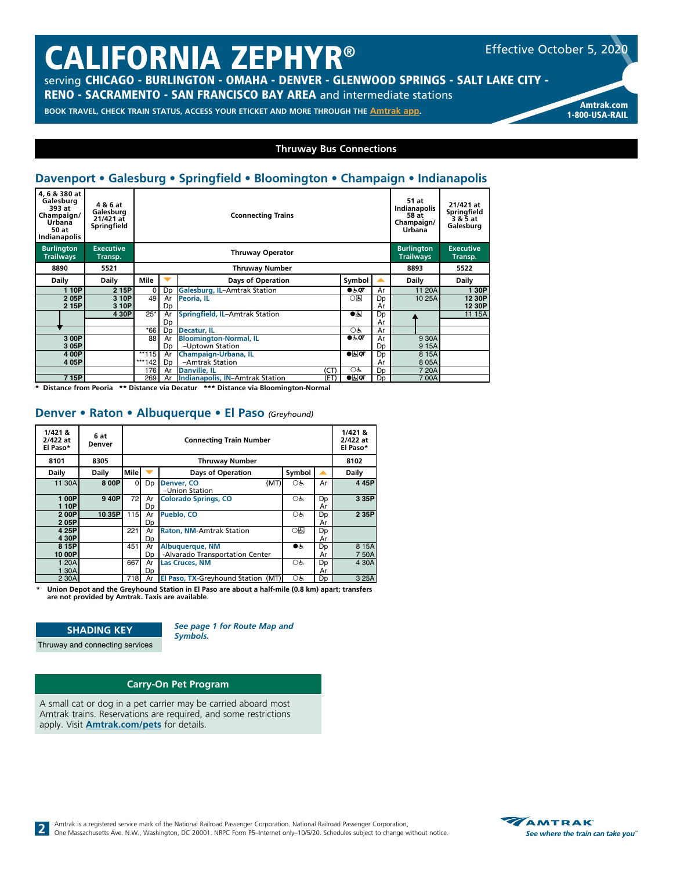# CALIFORNIA ZEPHYR®

Effective October 5, 2020

serving CHICAGO - BURLINGTON - OMAHA - DENVER - GLENWOOD SPRINGS - SALT LAKE CITY -

RENO - SACRAMENTO - SAN FRANCISCO BAY AREA and intermediate stations

**BOOK TRAVEL, CHECK TRAIN STATUS, ACCESS YOUR ETICKET AND MORE THROUGH THE [Amtrak app](https://www.amtrak.com/mobile). Amtrak and a media and and a** 

1-800-USA-RAIL

#### **Thruway Bus Connections**

# **Davenport • Galesburg • Springfield • Bloomington • Champaign • Indianapolis**

| 4, 6 & 380 at<br>Galesburg<br>393 at<br>Champaign/<br><b>Urbana</b><br>50 at<br>Indianapolis | 4 & 6 at<br>Galesburg<br>21/421 at<br>Springfield |             |                | <b>Cconnecting Trains</b>               | 51 at<br>Indianapolis<br>58 at<br>Champaign/<br>Urbana | 21/421 at<br>Springfield<br>3 & 5 at<br>Galesburg |                             |        |
|----------------------------------------------------------------------------------------------|---------------------------------------------------|-------------|----------------|-----------------------------------------|--------------------------------------------------------|---------------------------------------------------|-----------------------------|--------|
| <b>Burlington</b><br><b>Trailways</b>                                                        | <b>Executive</b><br>Transp.                       |             |                | <b>Thruway Operator</b>                 |                                                        | <b>Burlington</b><br><b>Trailways</b>             | <b>Executive</b><br>Transp. |        |
| 8890                                                                                         | 5521                                              |             |                | <b>Thruway Number</b>                   | 8893                                                   | 5522                                              |                             |        |
| Daily                                                                                        | Daily                                             | Mile        | ╾              | <b>Days of Operation</b>                | Symbol                                                 |                                                   | Daily                       | Daily  |
| 110P                                                                                         | 2 15P                                             | $\mathbf 0$ | Dp             | Galesburg, IL-Amtrak Station            | $\bullet \circ \sigma$                                 | Ar                                                | 11 20A                      | 30P    |
| 205P                                                                                         | 3 10P                                             | 49          | Ar             | Peoria, IL                              | ᅃ                                                      | Dp                                                | 10 25A                      | 12 30P |
| 2 15P                                                                                        | 3 10P                                             |             | Dp             |                                         |                                                        | Ar                                                |                             | 12 30P |
|                                                                                              | 4 30P                                             | $25*$       | Ar             | Springfield, IL-Amtrak Station          | $\bullet$                                              | Dp                                                |                             | 11 15A |
|                                                                                              |                                                   |             | Dp             |                                         |                                                        | Ar                                                |                             |        |
|                                                                                              |                                                   | $*66$       | D <sub>D</sub> | Decatur, IL                             | Oģ,                                                    | Ar                                                |                             |        |
| 3 00P                                                                                        |                                                   | 88          | Ar             | <b>Bloomington-Normal, IL</b>           | $\bullet \circ \sigma$                                 | Ar                                                | 9 30A                       |        |
| 3 05P                                                                                        |                                                   |             | D <sub>D</sub> | -Uptown Station                         |                                                        | Dp                                                | 915A                        |        |
| 4 00P                                                                                        |                                                   | $**115$     | Ar             | Champaign-Urbana, IL                    | $\bullet$                                              | Dp                                                | 8 15A                       |        |
| 4 05P                                                                                        |                                                   | ***142      | Dp             | -Amtrak Station                         |                                                        | Ar                                                | 8 0 5 A                     |        |
|                                                                                              |                                                   | 176         | Ar             | (CT)<br><b>Danville, IL</b>             | OĠ                                                     | Dp                                                | 7 20A                       |        |
| 7 15P                                                                                        |                                                   | 269         | Ar             | Indianapolis, IN-Amtrak Station<br>(ET) | $\bullet$                                              | Dp                                                | 700A                        |        |

**\* Distance from Peoria \*\* Distance via Decatur \*\*\* Distance via Bloomington-Normal**

#### **Denver • Raton • Albuquerque • El Paso** *(Greyhound)*

| 1/4218<br>2/422 at<br>El Paso* | 6 at<br>Denver |             | <b>Connecting Train Number</b> |                                                           |              |          |               |  |  |  |
|--------------------------------|----------------|-------------|--------------------------------|-----------------------------------------------------------|--------------|----------|---------------|--|--|--|
| 8101                           | 8305           |             |                                | <b>Thruway Number</b>                                     |              |          | 8102          |  |  |  |
| Daily                          | Daily          | <b>Mile</b> |                                | <b>Days of Operation</b>                                  | Symbol       |          | Daily         |  |  |  |
| 11 30A                         | 8 0 0 P        | $\Omega$    | Dp                             | (MT)<br>Denver, CO<br>-Union Station                      | OĠ           | Ar       | 445P          |  |  |  |
| 100P<br>110P                   | 940P           | 72          | Ar<br>Dp                       | <b>Colorado Springs, CO</b>                               | Oģ,          | Dp<br>Ar | 3 35P         |  |  |  |
| 200P<br>205P                   | 10 35P         | 115         | Ar<br>Dp                       | Pueblo, CO                                                | ОĠ           | Dp<br>Ar | 2 35P         |  |  |  |
| 4 25P<br>430P                  |                | 221         | Ar<br>Dp                       | <b>Raton, NM-Amtrak Station</b>                           | ০ন্ড         | Dp<br>Ar |               |  |  |  |
| 8 15P<br>10 00P                |                | 451         | Ar<br>Dp                       | <b>Albuquerque, NM</b><br>-Alvarado Transportation Center | $\bullet$ is | Dp<br>Ar | 8 15A<br>750A |  |  |  |
| 1 20A<br>1 30A                 |                | 667         | Ar<br>Dp                       | <b>Las Cruces, NM</b>                                     | OĠ           | Dp<br>Ar | 4 30A         |  |  |  |
| 2 30A                          |                | 718         | Ar                             | El Paso, TX-Greyhound Station (MT)                        | OĠ           | Dp       | 3 25A         |  |  |  |

**\* Union Depot and the Greyhound Station in El Paso are about a half-mile (0.8 km) apart; transfers are not provided by Amtrak. Taxis are available**.

#### **SHADING KEY**

Thruway and connecting services

*See page 1 for Route Map and* 

*Symbols.*

#### **Carry-On Pet Program**

A small cat or dog in a pet carrier may be carried aboard most Amtrak trains. Reservations are required, and some restrictions apply. Visit **[Amtrak.com/pets](https://www.amtrak.com/pets)** for details.

Amtrak is a registered service mark of the National Railroad Passenger Corporation. National Railroad Passenger Corporation, One Massachusetts Ave. N.W., Washington, DC 20001. NRPC Form PS-Internet only-10/5/20. Schedules